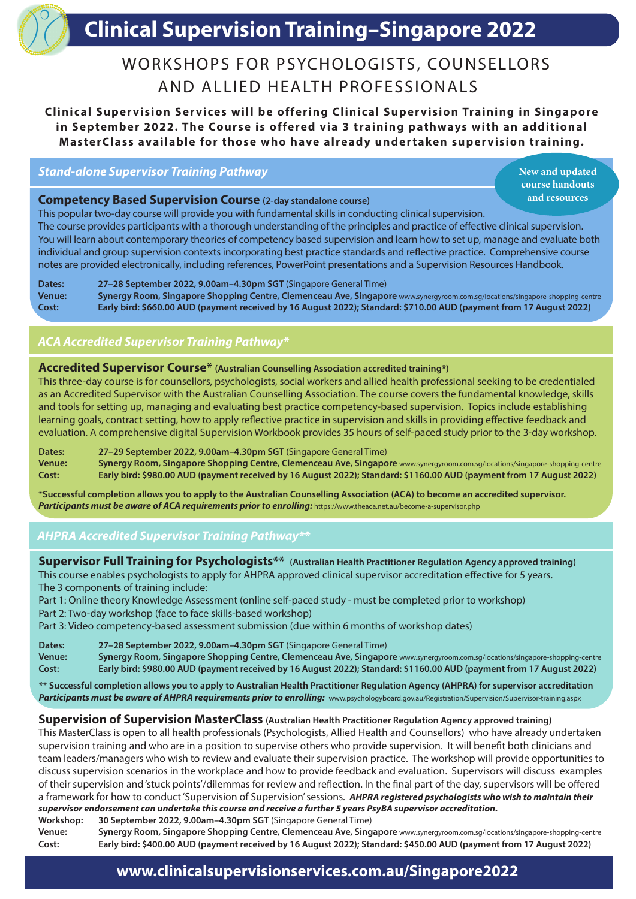# **Clinical Supervision Training Clinical Supervision Training–Singapore 2022**

## WORKSHOPS FOR PSYCHOLOGISTS, COUNSELLORS AND ALLIED HEALTH PROFESSIONALS

**Clinical Supervision Services will be offering Clinical Supervision Training in Singapore** in September 2022. The Course is offered via 3 training pathways with an additional **MasterClass available for those who have already undertaken supervision training.**

*Stand-alone Supervisor Training Pathway*

**New and updated course handouts and resources** 

#### **Competency Based Supervision Course (2-day standalone course)**

This popular two-day course will provide you with fundamental skills in conducting clinical supervision. The course provides participants with a thorough understanding of the principles and practice of effective clinical supervision. You will learn about contemporary theories of competency based supervision and learn how to set up, manage and evaluate both individual and group supervision contexts incorporating best practice standards and reflective practice. Comprehensive course notes are provided electronically, including references, PowerPoint presentations and a Supervision Resources Handbook.

**Dates: 27–28 September 2022, 9.00am–4.30pm SGT** (Singapore General Time) **Venue: Synergy Room, Singapore Shopping Centre, Clemenceau Ave, Singapore** www.synergyroom.com.sg/locations/singapore-shopping-centre **Cost: Early bird: \$660.00 AUD (payment received by 16 August 2022); Standard: \$710.00 AUD (payment from 17 August 2022)**

#### *ACA Accredited Supervisor Training Pathway\**

#### **Accredited Supervisor Course\* (Australian Counselling Association accredited training\*)**

This three-day course is for counsellors, psychologists, social workers and allied health professional seeking to be credentialed as an Accredited Supervisor with the Australian Counselling Association. The course covers the fundamental knowledge, skills and tools for setting up, managing and evaluating best practice competency-based supervision. Topics include establishing learning goals, contract setting, how to apply reflective practice in supervision and skills in providing effective feedback and evaluation. A comprehensive digital Supervision Workbook provides 35 hours of self-paced study prior to the 3-day workshop.

**Dates: 27–29 September 2022, 9.00am–4.30pm SGT** (Singapore General Time) **Venue: Synergy Room, Singapore Shopping Centre, Clemenceau Ave, Singapore** www.synergyroom.com.sg/locations/singapore-shopping-centre **Cost: Early bird: \$980.00 AUD (payment received by 16 August 2022); Standard: \$1160.00 AUD (payment from 17 August 2022)**

**\*Successful completion allows you to apply to the Australian Counselling Association (ACA) to become an accredited supervisor.**  Participants must be aware of ACA requirements prior to enrolling: https://www.theaca.net.au/become-a-supervisor.php

#### *AHPRA Accredited Supervisor Training Pathway\*\**

| Supervisor Full Training for Psychologists** (Australian Health Practitioner Regulation Agency approved training)                                                                                                                                                                                                                                                                                                                                                                                                                                                                                                                                                                                                                                                                                 |  |  |  |  |
|---------------------------------------------------------------------------------------------------------------------------------------------------------------------------------------------------------------------------------------------------------------------------------------------------------------------------------------------------------------------------------------------------------------------------------------------------------------------------------------------------------------------------------------------------------------------------------------------------------------------------------------------------------------------------------------------------------------------------------------------------------------------------------------------------|--|--|--|--|
| This course enables psychologists to apply for AHPRA approved clinical supervisor accreditation effective for 5 years.                                                                                                                                                                                                                                                                                                                                                                                                                                                                                                                                                                                                                                                                            |  |  |  |  |
| The 3 components of training include:                                                                                                                                                                                                                                                                                                                                                                                                                                                                                                                                                                                                                                                                                                                                                             |  |  |  |  |
| Part 1: Online theory Knowledge Assessment (online self-paced study - must be completed prior to workshop)                                                                                                                                                                                                                                                                                                                                                                                                                                                                                                                                                                                                                                                                                        |  |  |  |  |
| Part 2: Two-day workshop (face to face skills-based workshop)                                                                                                                                                                                                                                                                                                                                                                                                                                                                                                                                                                                                                                                                                                                                     |  |  |  |  |
| Part 3: Video competency-based assessment submission (due within 6 months of workshop dates)                                                                                                                                                                                                                                                                                                                                                                                                                                                                                                                                                                                                                                                                                                      |  |  |  |  |
| 27-28 September 2022, 9.00am-4.30pm SGT (Singapore General Time)<br>Dates:                                                                                                                                                                                                                                                                                                                                                                                                                                                                                                                                                                                                                                                                                                                        |  |  |  |  |
| Synergy Room, Singapore Shopping Centre, Clemenceau Ave, Singapore www.synergyroom.com.sg/locations/singapore-shopping-centre<br><b>Venue:</b><br>Early bird: \$980.00 AUD (payment received by 16 August 2022); Standard: \$1160.00 AUD (payment from 17 August 2022)<br>Cost:                                                                                                                                                                                                                                                                                                                                                                                                                                                                                                                   |  |  |  |  |
| ** Successful completion allows you to apply to Australian Health Practitioner Regulation Agency (AHPRA) for supervisor accreditation<br>Participants must be aware of AHPRA requirements prior to enrolling: www.psychologyboard.gov.au/Registration/Supervision/Supervisor-training.aspx                                                                                                                                                                                                                                                                                                                                                                                                                                                                                                        |  |  |  |  |
| <b>Supervision of Supervision MasterClass</b> (Australian Health Practitioner Regulation Agency approved training)<br>This MasterClass is open to all health professionals (Psychologists, Allied Health and Counsellors) who have already undertaken<br>supervision training and who are in a position to supervise others who provide supervision. It will benefit both clinicians and<br>team leaders/managers who wish to review and evaluate their supervision practice. The workshop will provide opportunities to<br>discuss supervision scenarios in the workplace and how to provide feedback and evaluation. Supervisors will discuss examples<br>of their supervision and 'stuck points'/dilemmas for review and reflection. In the final part of the day, supervisors will be offered |  |  |  |  |
| a framework for how to conduct 'Supervision of Supervision' sessions. AHPRA registered psychologists who wish to maintain their                                                                                                                                                                                                                                                                                                                                                                                                                                                                                                                                                                                                                                                                   |  |  |  |  |
| supervisor endorsement can undertake this course and receive a further 5 years PsyBA supervisor accreditation.                                                                                                                                                                                                                                                                                                                                                                                                                                                                                                                                                                                                                                                                                    |  |  |  |  |
| 30 September 2022, 9.00am-4.30pm SGT (Singapore General Time)<br>Workshop:                                                                                                                                                                                                                                                                                                                                                                                                                                                                                                                                                                                                                                                                                                                        |  |  |  |  |

**Venue: Synergy Room, Singapore Shopping Centre, Clemenceau Ave, Singapore** www.synergyroom.com.sg/locations/singapore-shopping-centre **Cost: Early bird: \$400.00 AUD (payment received by 16 August 2022); Standard: \$450.00 AUD (payment from 17 August 2022)**

### **www.clinicalsupervisionservices.com.au/Singapore2022**